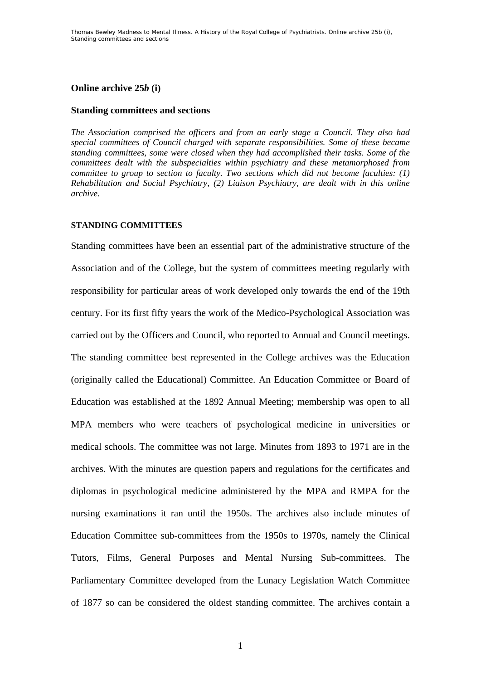# **Online archive 25***b* **(i)**

# **Standing committees and sections**

*The Association comprised the officers and from an early stage a Council. They also had special committees of Council charged with separate responsibilities. Some of these became standing committees, some were closed when they had accomplished their tasks. Some of the committees dealt with the subspecialties within psychiatry and these metamorphosed from committee to group to section to faculty. Two sections which did not become faculties: (1) Rehabilitation and Social Psychiatry, (2) Liaison Psychiatry, are dealt with in this online archive.* 

# **STANDING COMMITTEES**

Standing committees have been an essential part of the administrative structure of the Association and of the College, but the system of committees meeting regularly with responsibility for particular areas of work developed only towards the end of the 19th century. For its first fifty years the work of the Medico-Psychological Association was carried out by the Officers and Council, who reported to Annual and Council meetings. The standing committee best represented in the College archives was the Education (originally called the Educational) Committee. An Education Committee or Board of Education was established at the 1892 Annual Meeting; membership was open to all MPA members who were teachers of psychological medicine in universities or medical schools. The committee was not large. Minutes from 1893 to 1971 are in the archives. With the minutes are question papers and regulations for the certificates and diplomas in psychological medicine administered by the MPA and RMPA for the nursing examinations it ran until the 1950s. The archives also include minutes of Education Committee sub-committees from the 1950s to 1970s, namely the Clinical Tutors, Films, General Purposes and Mental Nursing Sub-committees. The Parliamentary Committee developed from the Lunacy Legislation Watch Committee of 1877 so can be considered the oldest standing committee. The archives contain a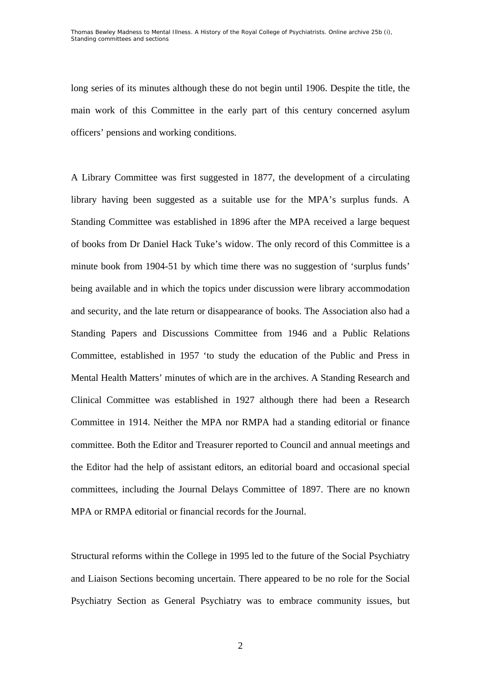long series of its minutes although these do not begin until 1906. Despite the title, the main work of this Committee in the early part of this century concerned asylum officers' pensions and working conditions.

A Library Committee was first suggested in 1877, the development of a circulating library having been suggested as a suitable use for the MPA's surplus funds. A Standing Committee was established in 1896 after the MPA received a large bequest of books from Dr Daniel Hack Tuke's widow. The only record of this Committee is a minute book from 1904-51 by which time there was no suggestion of 'surplus funds' being available and in which the topics under discussion were library accommodation and security, and the late return or disappearance of books. The Association also had a Standing Papers and Discussions Committee from 1946 and a Public Relations Committee, established in 1957 'to study the education of the Public and Press in Mental Health Matters' minutes of which are in the archives. A Standing Research and Clinical Committee was established in 1927 although there had been a Research Committee in 1914. Neither the MPA nor RMPA had a standing editorial or finance committee. Both the Editor and Treasurer reported to Council and annual meetings and the Editor had the help of assistant editors, an editorial board and occasional special committees, including the Journal Delays Committee of 1897. There are no known MPA or RMPA editorial or financial records for the Journal.

Structural reforms within the College in 1995 led to the future of the Social Psychiatry and Liaison Sections becoming uncertain. There appeared to be no role for the Social Psychiatry Section as General Psychiatry was to embrace community issues, but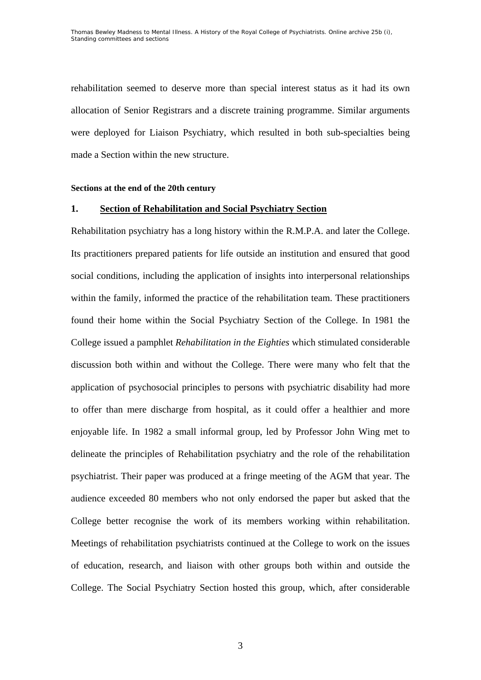rehabilitation seemed to deserve more than special interest status as it had its own allocation of Senior Registrars and a discrete training programme. Similar arguments were deployed for Liaison Psychiatry, which resulted in both sub-specialties being made a Section within the new structure.

#### **Sections at the end of the 20th century**

# **1. Section of Rehabilitation and Social Psychiatry Section**

Rehabilitation psychiatry has a long history within the R.M.P.A. and later the College. Its practitioners prepared patients for life outside an institution and ensured that good social conditions, including the application of insights into interpersonal relationships within the family, informed the practice of the rehabilitation team. These practitioners found their home within the Social Psychiatry Section of the College. In 1981 the College issued a pamphlet *Rehabilitation in the Eighties* which stimulated considerable discussion both within and without the College. There were many who felt that the application of psychosocial principles to persons with psychiatric disability had more to offer than mere discharge from hospital, as it could offer a healthier and more enjoyable life. In 1982 a small informal group, led by Professor John Wing met to delineate the principles of Rehabilitation psychiatry and the role of the rehabilitation psychiatrist. Their paper was produced at a fringe meeting of the AGM that year. The audience exceeded 80 members who not only endorsed the paper but asked that the College better recognise the work of its members working within rehabilitation. Meetings of rehabilitation psychiatrists continued at the College to work on the issues of education, research, and liaison with other groups both within and outside the College. The Social Psychiatry Section hosted this group, which, after considerable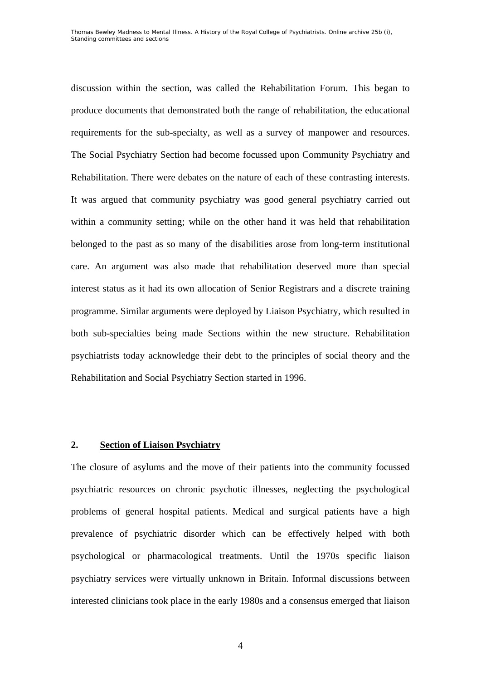discussion within the section, was called the Rehabilitation Forum. This began to produce documents that demonstrated both the range of rehabilitation, the educational requirements for the sub-specialty, as well as a survey of manpower and resources. The Social Psychiatry Section had become focussed upon Community Psychiatry and Rehabilitation. There were debates on the nature of each of these contrasting interests. It was argued that community psychiatry was good general psychiatry carried out within a community setting; while on the other hand it was held that rehabilitation belonged to the past as so many of the disabilities arose from long-term institutional care. An argument was also made that rehabilitation deserved more than special interest status as it had its own allocation of Senior Registrars and a discrete training programme. Similar arguments were deployed by Liaison Psychiatry, which resulted in both sub-specialties being made Sections within the new structure. Rehabilitation psychiatrists today acknowledge their debt to the principles of social theory and the Rehabilitation and Social Psychiatry Section started in 1996.

# **2. Section of Liaison Psychiatry**

The closure of asylums and the move of their patients into the community focussed psychiatric resources on chronic psychotic illnesses, neglecting the psychological problems of general hospital patients. Medical and surgical patients have a high prevalence of psychiatric disorder which can be effectively helped with both psychological or pharmacological treatments. Until the 1970s specific liaison psychiatry services were virtually unknown in Britain. Informal discussions between interested clinicians took place in the early 1980s and a consensus emerged that liaison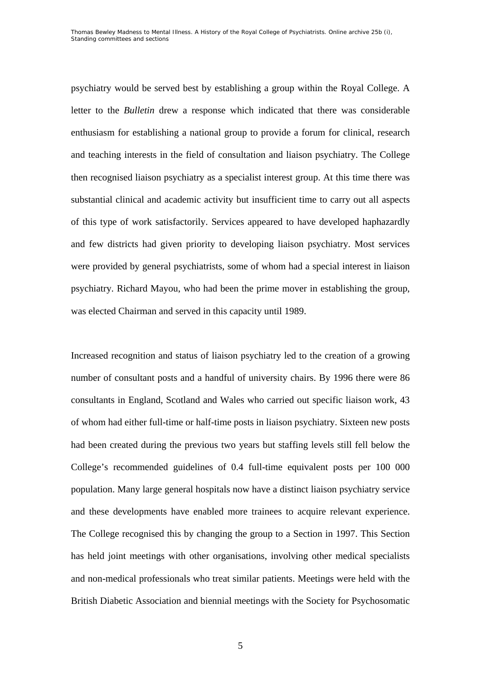psychiatry would be served best by establishing a group within the Royal College. A letter to the *Bulletin* drew a response which indicated that there was considerable enthusiasm for establishing a national group to provide a forum for clinical, research and teaching interests in the field of consultation and liaison psychiatry. The College then recognised liaison psychiatry as a specialist interest group. At this time there was substantial clinical and academic activity but insufficient time to carry out all aspects of this type of work satisfactorily. Services appeared to have developed haphazardly and few districts had given priority to developing liaison psychiatry. Most services were provided by general psychiatrists, some of whom had a special interest in liaison psychiatry. Richard Mayou, who had been the prime mover in establishing the group, was elected Chairman and served in this capacity until 1989.

Increased recognition and status of liaison psychiatry led to the creation of a growing number of consultant posts and a handful of university chairs. By 1996 there were 86 consultants in England, Scotland and Wales who carried out specific liaison work, 43 of whom had either full-time or half-time posts in liaison psychiatry. Sixteen new posts had been created during the previous two years but staffing levels still fell below the College's recommended guidelines of 0.4 full-time equivalent posts per 100 000 population. Many large general hospitals now have a distinct liaison psychiatry service and these developments have enabled more trainees to acquire relevant experience. The College recognised this by changing the group to a Section in 1997. This Section has held joint meetings with other organisations, involving other medical specialists and non-medical professionals who treat similar patients. Meetings were held with the British Diabetic Association and biennial meetings with the Society for Psychosomatic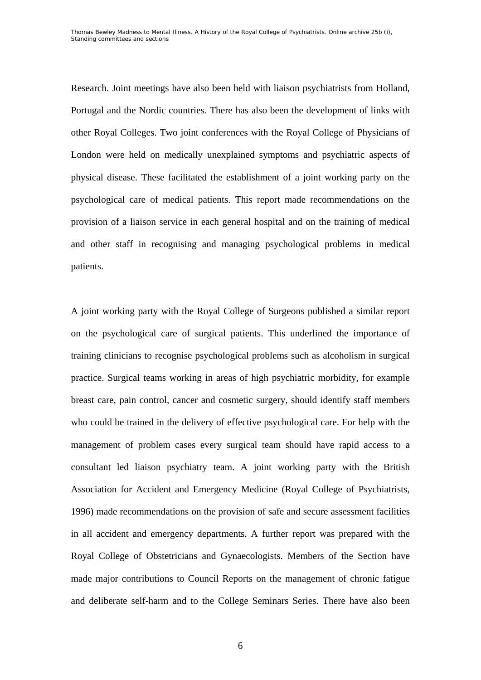Research. Joint meetings have also been held with liaison psychiatrists from Holland, Portugal and the Nordic countries. There has also been the development of links with other Royal Colleges. Two joint conferences with the Royal College of Physicians of London were held on medically unexplained symptoms and psychiatric aspects of physical disease. These facilitated the establishment of a joint working party on the psychological care of medical patients. This report made recommendations on the provision of a liaison service in each general hospital and on the training of medical and other staff in recognising and managing psychological problems in medical patients.

A joint working party with the Royal College of Surgeons published a similar report on the psychological care of surgical patients. This underlined the importance of training clinicians to recognise psychological problems such as alcoholism in surgical practice. Surgical teams working in areas of high psychiatric morbidity, for example breast care, pain control, cancer and cosmetic surgery, should identify staff members who could be trained in the delivery of effective psychological care. For help with the management of problem cases every surgical team should have rapid access to a consultant led liaison psychiatry team. A joint working party with the British Association for Accident and Emergency Medicine (Royal College of Psychiatrists, 1996) made recommendations on the provision of safe and secure assessment facilities in all accident and emergency departments. A further report was prepared with the Royal College of Obstetricians and Gynaecologists. Members of the Section have made major contributions to Council Reports on the management of chronic fatigue and deliberate self-harm and to the College Seminars Series. There have also been